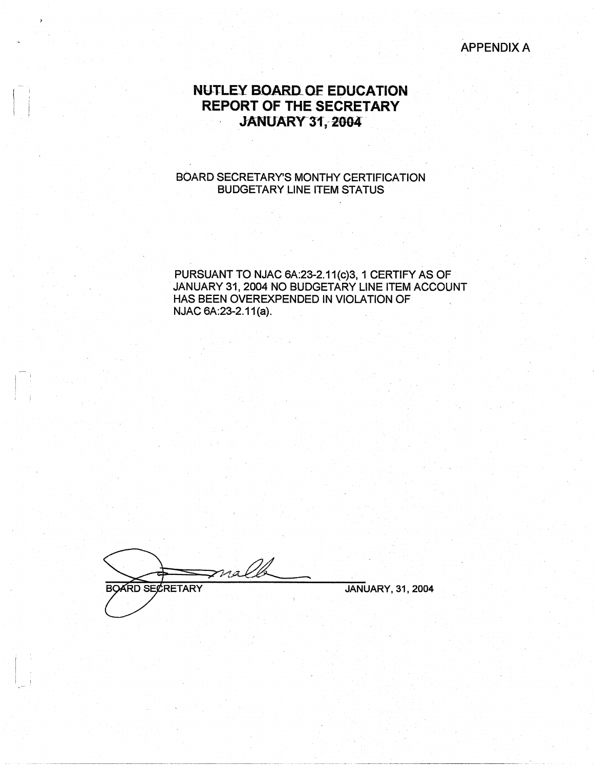### APPENDIX A

## **NUTLEY BOARD OF EDUCATION REPORT OF THE SECRETARY JANUARY 31, 2004**

### BOARD SECRETARY'S MONTHY CERTIFICATION BUDGETARY LINE ITEM STATUS

PURSUANT TO NJAC 6A:23-2.11 (c)3, 1 CERTIFY AS OF JANUARY 31, 2004 NO BUDGETARY LINE ITEM ACCOUNT HAS BEEN OVEREXPENOED IN VIOLATION OF NJAC 6A:23-2.11(a).

mat **BOARD SECRETARY** 

 $\vert$ i )

 $\begin{bmatrix} 1 \\ 1 \end{bmatrix}$ 

**JANUARY,** 31, **2004**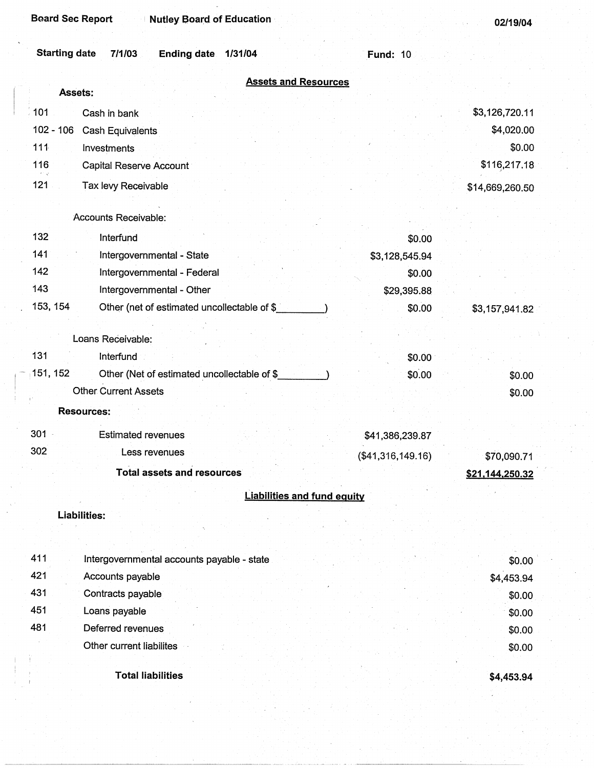**02/19/04** 

| Starting date 7/1/03 | Ending date 1/31/04 |  | <b>Fund: 10</b> |
|----------------------|---------------------|--|-----------------|
|                      |                     |  |                 |

| <b>Assets:</b> | <b>Assets and Resources</b>                  |                   |                 |
|----------------|----------------------------------------------|-------------------|-----------------|
| 101            | Cash in bank                                 |                   | \$3,126,720.11  |
| $102 - 106$    | Cash Equivalents                             |                   | \$4,020.00      |
| 111            | Investments                                  |                   | \$0.00          |
| 116            | <b>Capital Reserve Account</b>               |                   | \$116,217.18    |
| 121            | Tax levy Receivable                          |                   | \$14,669,260.50 |
|                |                                              |                   |                 |
|                | Accounts Receivable:                         |                   |                 |
| 132            | Interfund                                    | \$0.00            |                 |
| 141            | Intergovernmental - State                    | \$3,128,545.94    |                 |
| 142            | Intergovernmental - Federal                  | \$0.00            |                 |
| 143            | Intergovernmental - Other                    | \$29,395.88       |                 |
| 153, 154       | Other (net of estimated uncollectable of \$_ | \$0.00            | \$3,157,941.82  |
|                | Loans Receivable:                            |                   |                 |
| 131            | Interfund                                    | \$0.00            |                 |
| 151, 152       | Other (Net of estimated uncollectable of \$  | \$0.00            | \$0.00          |
|                | <b>Other Current Assets</b>                  |                   | \$0.00          |
|                | <b>Resources:</b>                            |                   |                 |
| 301            | <b>Estimated revenues</b>                    | \$41,386,239.87   |                 |
| 302            | Less revenues                                | (\$41,316,149.16) | \$70,090.71     |
|                | <b>Total assets and resources</b>            |                   | \$21,144,250.32 |
|                | <b>Liabilities and fund equity</b>           |                   |                 |
|                | <b>Liabilities:</b>                          |                   |                 |
|                |                                              |                   |                 |
|                |                                              |                   |                 |
| 411            | Intergovernmental accounts payable - state   |                   | \$0.00          |
| 421            | Accounts payable                             |                   | \$4,453.94      |
| 431            | Contracts payable                            |                   | \$0.00          |
| 451            | Loans payable                                |                   | \$0.00          |
| 481            | Deferred revenues                            |                   | \$0.00          |
|                | Other current liabilites                     |                   | \$0.00          |

**Total liabilities** 

1

**\$4,453.94**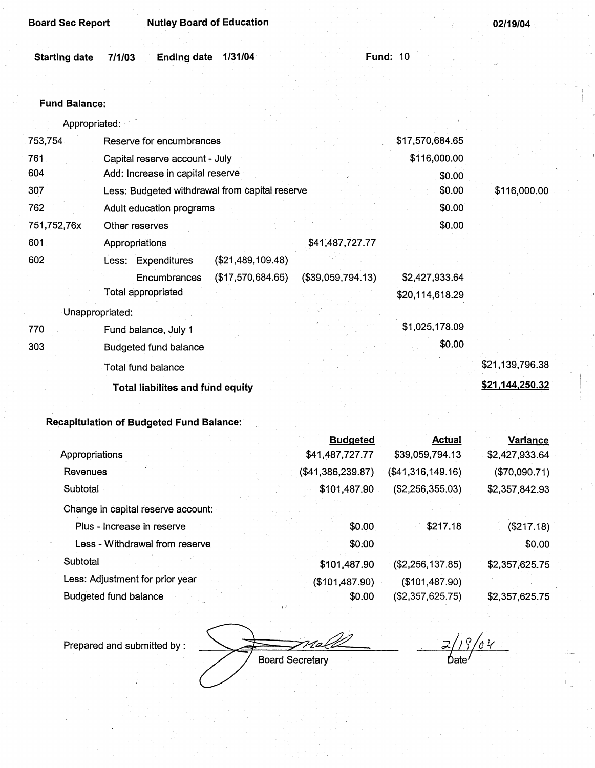| <b>Board Sec Report</b> |                 | <b>Nutley Board of Education</b>               |                   |                   |                 |                 | 02/19/04        |
|-------------------------|-----------------|------------------------------------------------|-------------------|-------------------|-----------------|-----------------|-----------------|
| <b>Starting date</b>    | 7/1/03          | <b>Ending date</b>                             | 1/31/04           |                   | <b>Fund: 10</b> |                 |                 |
|                         |                 |                                                |                   |                   |                 |                 |                 |
| <b>Fund Balance:</b>    |                 |                                                |                   |                   |                 |                 |                 |
| Appropriated:           |                 |                                                |                   |                   |                 |                 |                 |
| 753,754                 |                 | Reserve for encumbrances                       |                   |                   | \$17,570,684.65 |                 |                 |
| 761                     |                 | Capital reserve account - July                 |                   |                   |                 | \$116,000.00    |                 |
| 604                     |                 | Add: Increase in capital reserve               |                   |                   |                 | \$0.00          |                 |
| 307                     |                 | Less: Budgeted withdrawal from capital reserve |                   |                   |                 | \$0.00          | \$116,000.00    |
| 762                     |                 | Adult education programs                       |                   |                   |                 | \$0.00          |                 |
| 751,752,76x             | Other reserves  |                                                |                   |                   |                 | \$0.00          |                 |
| 601                     | Appropriations  |                                                |                   | \$41,487,727.77   |                 |                 |                 |
| 602                     |                 | Less: Expenditures                             | (\$21,489,109.48) |                   |                 |                 |                 |
|                         |                 | Encumbrances                                   | (\$17,570,684.65) | (\$39,059,794.13) |                 | \$2,427,933.64  |                 |
|                         |                 | Total appropriated                             |                   |                   |                 | \$20,114,618.29 |                 |
|                         | Unappropriated: |                                                |                   |                   |                 |                 |                 |
| 770                     |                 | Fund balance, July 1                           |                   |                   |                 | \$1,025,178.09  |                 |
| 303                     |                 | <b>Budgeted fund balance</b>                   |                   |                   |                 | \$0.00          |                 |
|                         |                 | <b>Total fund balance</b>                      |                   |                   |                 |                 | \$21,139,796.38 |
|                         |                 | <b>Total liabilites and fund equity</b>        |                   |                   |                 |                 | \$21,144,250.32 |
|                         |                 |                                                |                   |                   |                 |                 |                 |

|                                    | <b>Budgeted</b>   | <b>Actual</b>     | Variance       |
|------------------------------------|-------------------|-------------------|----------------|
| Appropriations                     | \$41,487,727.77   | \$39,059,794.13   | \$2,427,933.64 |
| <b>Revenues</b>                    | (\$41,386,239.87) | (\$41,316,149.16) | (\$70,090.71)  |
| Subtotal                           | \$101,487.90      | (\$2,256,355.03)  | \$2,357,842.93 |
| Change in capital reserve account: |                   |                   |                |
| Plus - Increase in reserve         | \$0.00            | \$217.18          | (\$217.18)     |
| Less - Withdrawal from reserve     | \$0.00            |                   | \$0.00         |
| Subtotal                           | \$101,487.90      | ( \$2,256,137.85) | \$2,357,625.75 |
| Less: Adjustment for prior year    | (\$101,487.90)    | (\$101,487.90)    |                |
| <b>Budgeted fund balance</b>       | \$0.00            | (\$2,357,625.75)  | \$2,357,625.75 |

Prepared and submitted by :

Vlo Board Secretary

 $2/19/04$  $\beta$ ate $\prime$ 

I '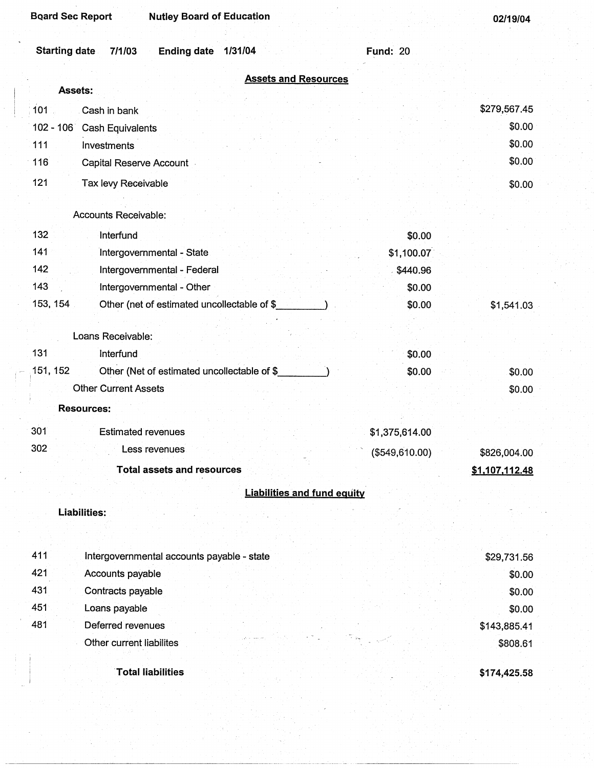| Starting date 7/1/03 | Ending date 1/31/04 |  | <b>Fund: 20.</b> |
|----------------------|---------------------|--|------------------|
|                      |                     |  |                  |

|             |                                             | <b>Assets and Resources</b>        |                 |                |
|-------------|---------------------------------------------|------------------------------------|-----------------|----------------|
|             | Assets:                                     |                                    |                 |                |
| 101         | Cash in bank                                |                                    |                 | \$279,567.45   |
| $102 - 106$ | <b>Cash Equivalents</b>                     |                                    |                 | \$0.00         |
| 111         | Investments                                 |                                    |                 | \$0.00         |
| 116         | Capital Reserve Account                     |                                    |                 | \$0.00         |
| 121         | Tax levy Receivable                         |                                    |                 | \$0.00         |
|             |                                             |                                    |                 |                |
|             | Accounts Receivable:                        |                                    |                 |                |
| 132         | Interfund                                   |                                    | \$0.00          |                |
| 141         | Intergovernmental - State                   |                                    | \$1,100.07      |                |
| 142         | Intergovernmental - Federal                 |                                    | \$440.96        |                |
| 143         | Intergovernmental - Other                   |                                    | \$0.00          |                |
| 153, 154    | Other (net of estimated uncollectable of \$ |                                    | \$0.00          | \$1,541.03     |
|             |                                             |                                    |                 |                |
|             | Loans Receivable:                           |                                    |                 |                |
| 131         | Interfund                                   |                                    | \$0.00          |                |
| 151, 152    | Other (Net of estimated uncollectable of \$ |                                    | \$0.00          | \$0.00         |
|             | <b>Other Current Assets</b>                 |                                    |                 | \$0.00         |
|             | <b>Resources:</b>                           |                                    |                 |                |
| 301         | <b>Estimated revenues</b>                   |                                    | \$1,375,614.00  |                |
| 302         | Less revenues                               |                                    | (\$549, 610.00) | \$826,004.00   |
|             | <b>Total assets and resources</b>           |                                    |                 | \$1,107,112.48 |
|             |                                             | <b>Liabilities and fund equity</b> |                 |                |
|             |                                             |                                    |                 |                |
|             | <b>Liabilities:</b>                         |                                    |                 |                |
|             |                                             |                                    |                 |                |
| 411         | Intergovernmental accounts payable - state  |                                    |                 | \$29,731.56    |
| 421         | Accounts payable                            |                                    |                 | \$0.00         |
| 431         | Contracts payable                           |                                    |                 | \$0.00         |
| 451         | Loans payable                               |                                    |                 | \$0.00         |
| 481         | Deferred revenues                           |                                    |                 | \$143,885.41   |
|             | Other current liabilites                    |                                    |                 | \$808.61       |
|             |                                             |                                    |                 |                |

-· -- \_, \_\_ ,, \_\_\_ ,, \_\_\_\_\_ \_, - -- .. ~-~--------

**Total liabilities** 

**\$174,425.58**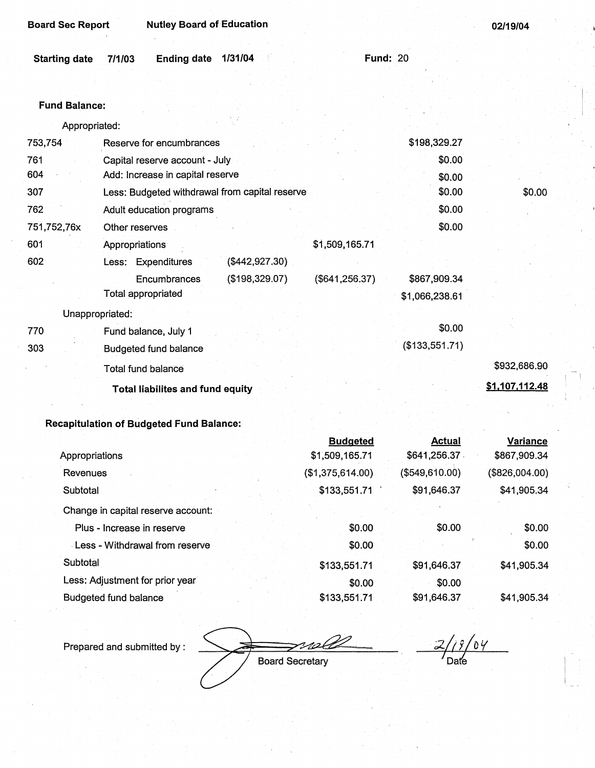| <b>Board Sec Report</b> | <b>Nutley Board of Education</b>               |                                 | 02/19/04       |
|-------------------------|------------------------------------------------|---------------------------------|----------------|
| <b>Starting date</b>    | 1/31/04<br><b>Ending date</b><br>7/1/03        | <b>Fund: 20</b>                 |                |
|                         |                                                |                                 |                |
| <b>Fund Balance:</b>    |                                                |                                 |                |
| Appropriated:           |                                                |                                 |                |
| 753,754                 | Reserve for encumbrances                       | \$198,329.27                    |                |
| 761                     | Capital reserve account - July                 | \$0.00                          |                |
| 604                     | Add: Increase in capital reserve               | \$0.00                          |                |
| 307                     | Less: Budgeted withdrawal from capital reserve | \$0.00                          | \$0.00         |
| 762                     | Adult education programs                       | \$0.00                          |                |
| 751,752,76x             | Other reserves                                 | \$0.00                          |                |
| 601                     | Appropriations                                 | \$1,509,165.71                  |                |
| 602                     | Less: Expenditures<br>( \$442, 927.30)         |                                 |                |
|                         | (\$198,329.07)<br>Encumbrances                 | (\$641, 256.37)<br>\$867,909.34 |                |
|                         | <b>Total appropriated</b>                      | \$1,066,238.61                  |                |
| Unappropriated:         |                                                |                                 |                |
| 770                     | Fund balance, July 1                           | \$0.00                          |                |
| 303                     | <b>Budgeted fund balance</b>                   | (\$133,551.71)                  |                |
|                         | Total fund balance                             |                                 | \$932,686.90   |
|                         | <b>Total liabilites and fund equity</b>        |                                 | \$1,107,112.48 |

|                                    | <b>Budgeted</b>  | <b>Actual</b>  | <b>Variance</b> |
|------------------------------------|------------------|----------------|-----------------|
| Appropriations                     | \$1,509,165.71   | \$641,256.37   | \$867,909.34    |
| Revenues                           | (\$1,375,614.00) | (\$549,610.00) | (\$826,004.00)  |
| Subtotal                           | \$133,551.71     | \$91,646.37    | \$41,905.34     |
| Change in capital reserve account: |                  |                |                 |
| Plus - Increase in reserve         | \$0.00           | \$0.00         | \$0.00          |
| Less - Withdrawal from reserve     | \$0.00           |                | \$0.00          |
| Subtotal                           | \$133,551.71     | \$91,646.37    | \$41,905.34     |
| Less: Adjustment for prior year    | \$0.00           | \$0.00         |                 |
| <b>Budgeted fund balance</b>       | \$133,551.71     | \$91,646.37    | \$41,905.34     |

Prepared and submitted by :

Board Secretary

 $\frac{18}{9}$ 04  $\overline{\mathcal{Z}}_l$ Date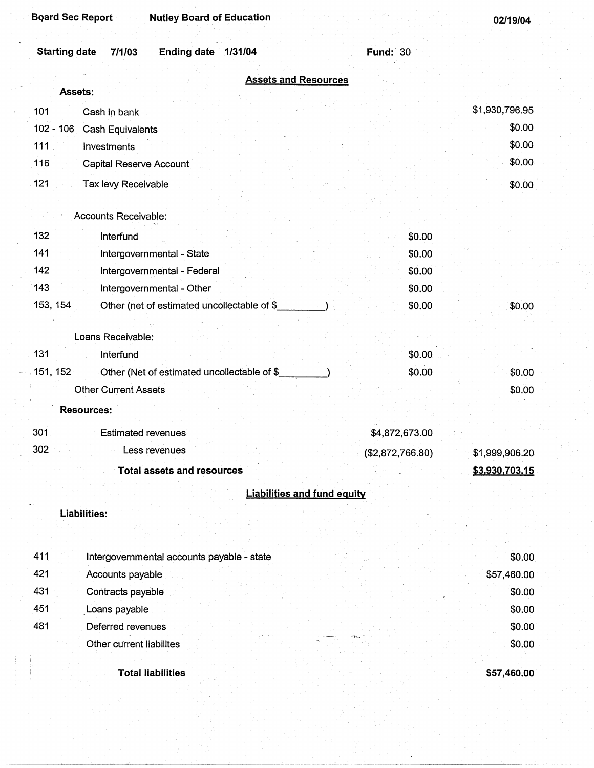**02/19/04** 

|  | Starting date 7/1/03 |  | Ending date 1/31/04 |  |  |  | <b>Fund: 30</b> |
|--|----------------------|--|---------------------|--|--|--|-----------------|
|--|----------------------|--|---------------------|--|--|--|-----------------|

|                |                  |                                    | <b>Assets and Resources</b><br>Assets:      |          |
|----------------|------------------|------------------------------------|---------------------------------------------|----------|
| \$1,930,796.95 |                  |                                    | Cash in bank                                | 101      |
| \$0.00         |                  |                                    | 102 - 106 Cash Equivalents                  |          |
| \$0.00         |                  |                                    | Investments                                 | 111      |
| \$0.00         |                  |                                    | <b>Capital Reserve Account</b>              | 116      |
| \$0.00         |                  |                                    | Tax levy Receivable                         | .121     |
|                |                  |                                    | Accounts Receivable:                        |          |
|                | \$0.00           |                                    | Interfund                                   | 132      |
|                | \$0.00           |                                    | Intergovernmental - State                   | 141      |
|                | \$0.00           |                                    | Intergovernmental - Federal                 | 142      |
|                | \$0.00           |                                    | Intergovernmental - Other                   | 143      |
| \$0.00         | \$0.00           |                                    | Other (net of estimated uncollectable of \$ | 153, 154 |
|                |                  |                                    | Loans Receivable:                           |          |
|                | \$0.00           |                                    | Interfund                                   | 131      |
| \$0.00         | \$0.00           |                                    | Other (Net of estimated uncollectable of \$ | 151, 152 |
| \$0.00         |                  |                                    | <b>Other Current Assets</b>                 |          |
|                |                  |                                    | <b>Resources:</b>                           |          |
|                | \$4,872,673.00   |                                    | <b>Estimated revenues</b>                   | 301      |
| \$1,999,906.20 | (\$2,872,766.80) |                                    | Less revenues                               | 302      |
| \$3,930,703.15 |                  |                                    | <b>Total assets and resources</b>           |          |
|                |                  | <b>Liabilities and fund equity</b> |                                             |          |
|                |                  |                                    | <b>Liabilities:</b>                         |          |
|                |                  |                                    |                                             |          |
| \$0.00         |                  |                                    | Intergovernmental accounts payable - state  | 411      |
| \$57,460.00    |                  |                                    | Accounts payable                            | 421      |
| \$0.00         |                  |                                    | Contracts payable                           | 431      |
| \$0.00         |                  |                                    | Loans payable                               | 451      |
| \$0.00         |                  |                                    | Deferred revenues                           | 481      |
| \$0.00         |                  |                                    | Other current liabilites                    |          |

**Total liabilities** 

**\$57,460.00**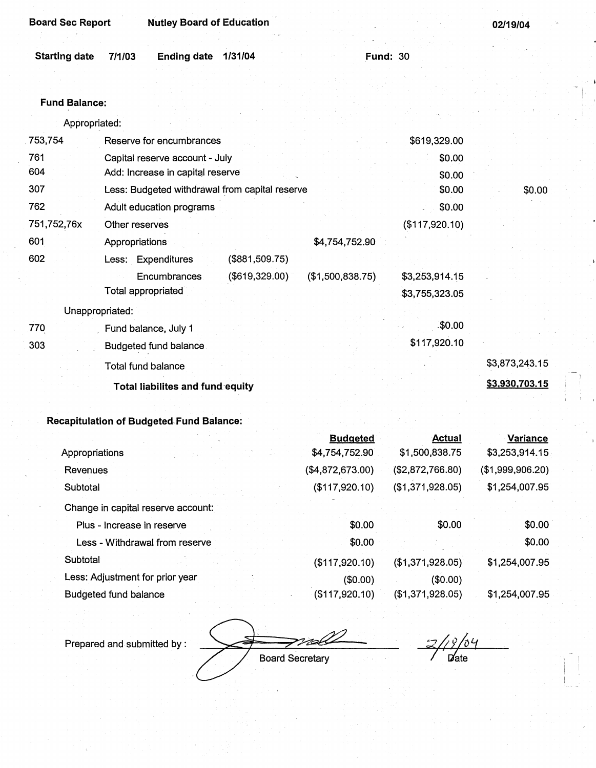| Board Sec Report     |        | <b>Nutley Board of Education</b> |  |  | 02/19/04        |  |
|----------------------|--------|----------------------------------|--|--|-----------------|--|
|                      |        |                                  |  |  |                 |  |
| <b>Starting date</b> | 7/1/03 | Ending date 1/31/04              |  |  | <b>Fund: 30</b> |  |

### Fund **Balance:**

| Appropriated: |                                                 |                  |                |                |
|---------------|-------------------------------------------------|------------------|----------------|----------------|
| 753,754       | Reserve for encumbrances                        |                  | \$619,329.00   |                |
| 761           | Capital reserve account - July                  |                  | \$0.00         |                |
| 604           | Add: Increase in capital reserve                |                  | \$0.00         |                |
| 307           | Less: Budgeted withdrawal from capital reserve  |                  | \$0.00         | \$0.00         |
| 762           | Adult education programs                        |                  | \$0.00         |                |
| 751,752,76x   | Other reserves                                  |                  | (\$117,920.10) |                |
| 601           | Appropriations                                  | \$4,754,752.90   |                |                |
| 602           | (\$881,509.75)<br>Less: Expenditures            |                  |                |                |
|               | (\$619,329.00)<br>Encumbrances                  | (\$1,500,838.75) | \$3,253,914.15 |                |
|               | Total appropriated                              |                  | \$3,755,323.05 |                |
|               | Unappropriated:                                 |                  |                |                |
| 770           | Fund balance, July 1                            |                  | \$0.00         |                |
| 303           | Budgeted fund balance.                          |                  | \$117,920.10   |                |
|               | <b>Total fund balance</b>                       |                  |                | \$3,873,243.15 |
|               | Total liabilites and fund equity                |                  |                | \$3,930,703.15 |
|               | <b>Recapitulation of Budgeted Fund Balance:</b> |                  |                |                |

#### **Recapitulation of Budgeted-Fund Balance:**

|                                    | <b>Budgeted</b>  | <b>Actual</b>    | <b>Variance</b>  |
|------------------------------------|------------------|------------------|------------------|
| Appropriations                     | \$4,754,752.90   | \$1,500,838.75   | \$3,253,914.15   |
| Revenues                           | (\$4,872,673.00) | (\$2,872,766.80) | (\$1,999,906.20) |
| Subtotal                           | (\$117,920.10)   | (\$1,371,928.05) | \$1,254,007.95   |
| Change in capital reserve account: |                  |                  |                  |
| Plus - Increase in reserve         | \$0.00           | \$0.00           | \$0.00           |
| Less - Withdrawal from reserve     | \$0.00           |                  | \$0.00           |
| Subtotal                           | (\$117,920.10)   | (\$1,371,928.05) | \$1,254,007.95   |
| Less: Adjustment for prior year    | (\$0.00)         | (\$0.00)         |                  |
| Budgeted fund balance              | (\$117,920.10)   | (\$1,371,928.05) | \$1,254,007.95   |

Prepared and submitted by :

Board Secretary  $(17,920.10)$   $(1,371,9)$ <br> $\overbrace{=}$ 

 $2/19/04$ / ate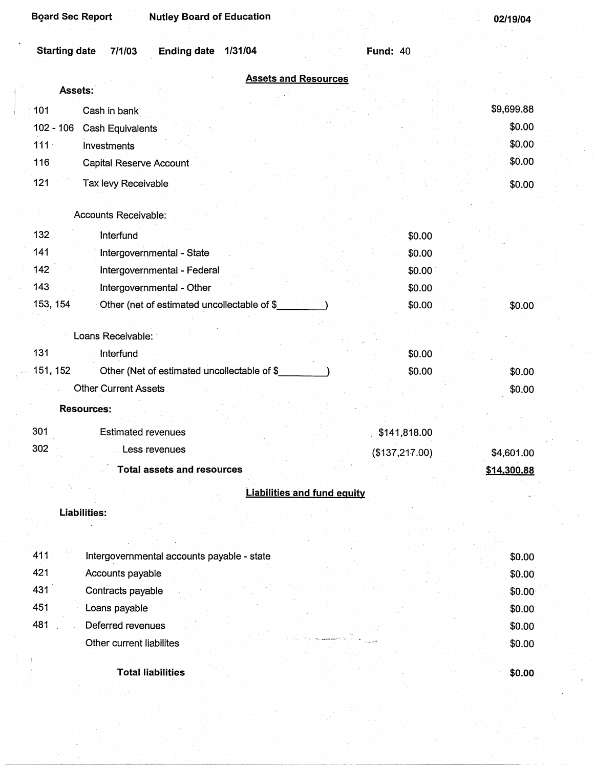| <b>Board Sec Report</b><br><b>Nutley Board of Education</b>     |                 | 02/19/04    |
|-----------------------------------------------------------------|-----------------|-------------|
| <b>Ending date</b><br><b>Starting date</b><br>7/1/03<br>1/31/04 | <b>Fund: 40</b> |             |
| <b>Assets and Resources</b><br>Assets:                          |                 |             |
| 101<br>Cash in bank                                             |                 | \$9,699.88  |
| $102 - 106$<br><b>Cash Equivalents</b>                          |                 | \$0.00      |
| $111 -$<br>Investments                                          |                 | \$0.00      |
| 116<br><b>Capital Reserve Account</b>                           |                 | \$0.00      |
| 121<br>Tax levy Receivable                                      |                 | \$0.00      |
|                                                                 |                 |             |
| Accounts Receivable:                                            |                 |             |
| 132<br>Interfund                                                | \$0.00          |             |
| 141<br>Intergovernmental - State                                | \$0.00          |             |
| 142<br>Intergovernmental - Federal                              | \$0.00          |             |
| 143<br>Intergovernmental - Other                                | \$0.00          |             |
| 153, 154<br>Other (net of estimated uncollectable of \$         | \$0.00          | \$0.00      |
| Loans Receivable:                                               |                 |             |
| 131<br>Interfund                                                | \$0.00          |             |
| 151, 152<br>Other (Net of estimated uncollectable of \$_        | \$0.00          | \$0.00      |
| <b>Other Current Assets</b>                                     |                 | \$0.00      |
| <b>Resources:</b>                                               |                 |             |
| 301<br><b>Estimated revenues</b>                                | \$141,818.00    |             |
| 302<br>Less revenues                                            | (\$137,217.00)  | \$4,601.00  |
| <b>Total assets and resources</b>                               |                 | \$14,300.88 |
| <b>Liabilities and fund equity</b>                              |                 |             |
| Liabilities:                                                    |                 |             |
|                                                                 |                 |             |
| 411<br>Intergovernmental accounts payable - state               |                 | \$0.00      |
| 421<br>Accounts payable                                         |                 | \$0.00      |
| 431<br>Contracts payable                                        |                 | \$0.00      |
| 451<br>Loans payable                                            |                 | \$0.00      |
| 481<br>Deferred revenues                                        |                 | \$0.00      |
| Other current liabilites                                        |                 | \$0.00      |
| <b>Total liabilities</b>                                        |                 | \$0.00      |
|                                                                 |                 |             |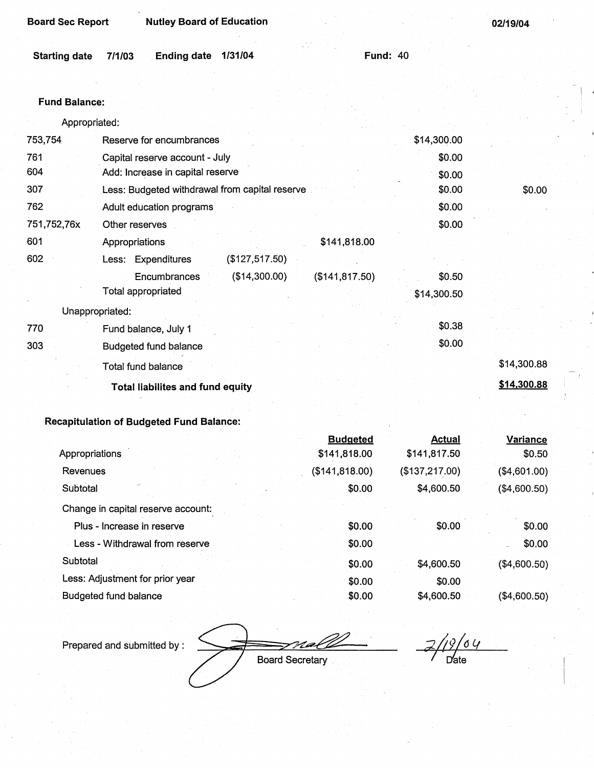| <b>Board Sec Report</b> |        | <b>Nutley Board of Education</b> |  |                 |  | 02/19/04 |
|-------------------------|--------|----------------------------------|--|-----------------|--|----------|
|                         |        |                                  |  |                 |  |          |
| <b>Starting date</b>    | 7/1/03 | Ending date 1/31/04              |  | <b>Fund: 40</b> |  |          |

#### **Fund Balance:**

| Appropriated: |                                                |                 |             |             |
|---------------|------------------------------------------------|-----------------|-------------|-------------|
| 753,754       | Reserve for encumbrances                       |                 | \$14,300.00 |             |
| 761           | Capital reserve account - July                 |                 | \$0.00      |             |
| 604           | Add: Increase in capital reserve               |                 | \$0.00      |             |
| 307           | Less: Budgeted withdrawal from capital reserve |                 | \$0.00      | \$0.00      |
| 762           | Adult education programs                       |                 | \$0.00      |             |
| 751,752,76x   | Other reserves                                 |                 | \$0.00      |             |
| 601           | Appropriations                                 | \$141,818.00    |             |             |
| 602           | (\$127,517.50)<br>Less: Expenditures           |                 |             |             |
|               | (\$14,300.00)<br>Encumbrances                  | (\$141, 817.50) | \$0.50      |             |
|               | Total appropriated                             |                 | \$14,300.50 |             |
|               | Unappropriated:                                |                 |             |             |
| 770           | Fund balance, July 1                           |                 | \$0.38      |             |
| 303           | <b>Budgeted fund balance</b>                   |                 | \$0.00      |             |
|               | Total fund balance                             |                 |             | \$14,300.88 |
|               | <b>Total liabilites and fund equity</b>        |                 |             | \$14,300.88 |
|               |                                                |                 |             |             |

## **Recapitulation of Budgeted** Fund **Balance:**

|                                    | <b>Budgeted</b> | <b>Actual</b>  | Variance     |
|------------------------------------|-----------------|----------------|--------------|
| Appropriations                     | \$141,818.00    | \$141,817.50   | \$0.50       |
| <b>Revenues</b>                    | (\$141, 818.00) | (\$137,217.00) | (\$4,601.00) |
| Subtotal                           | \$0.00          | \$4,600.50     | (\$4,600.50) |
| Change in capital reserve account: |                 |                |              |
| Plus - Increase in reserve         | \$0.00          | \$0.00         | \$0.00       |
| Less - Withdrawal from reserve     | \$0.00          |                | \$0.00       |
| Subtotal                           | \$0.00          | \$4,600.50     | (\$4,600.50) |
| Less: Adjustment for prior year    | \$0.00          | \$0.00         |              |
| <b>Budgeted fund balance</b>       | \$0.00          | \$4,600.50     | (\$4,600.50) |

Prepared and submitted by :

Board Secretary

 $19/04$  $\overline{D}$ ate

 $\mathbb{I}$  '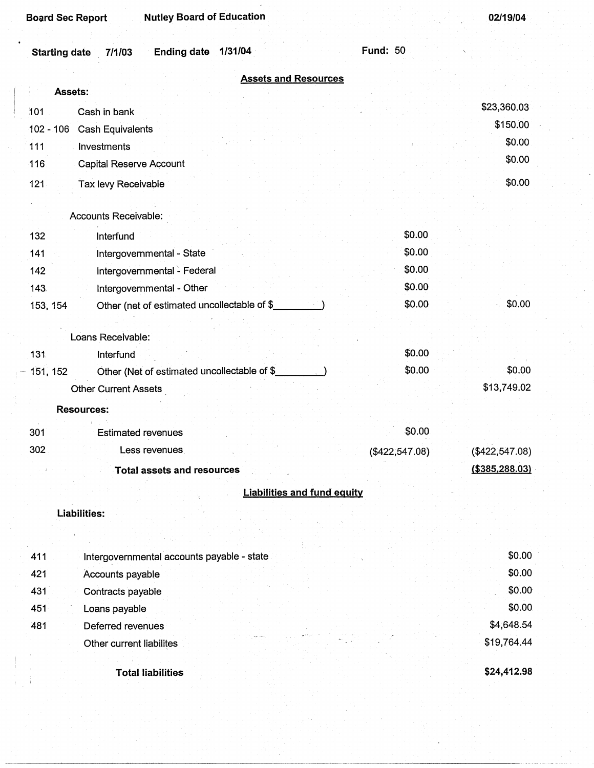| <b>Nutley Board of Education</b><br><b>Board Sec Report</b> |                 | 02/19/04          |
|-------------------------------------------------------------|-----------------|-------------------|
| Ending date 1/31/04<br><b>Starting date</b><br>7/1/03       | <b>Fund: 50</b> |                   |
| <b>Assets and Resources</b>                                 |                 |                   |
| Assets:                                                     |                 | \$23,360.03       |
| 101<br>Cash in bank                                         |                 | \$150.00          |
| $102 - 106$<br><b>Cash Equivalents</b>                      |                 | \$0.00            |
| 111<br>Investments                                          |                 | \$0.00            |
| 116<br><b>Capital Reserve Account</b>                       |                 |                   |
| 121<br>Tax levy Receivable                                  |                 | \$0.00            |
| Accounts Receivable:                                        |                 |                   |
| 132<br>Interfund                                            | \$0.00          |                   |
| 141<br>Intergovernmental - State                            | \$0.00          |                   |
| Intergovernmental - Federal<br>142                          | \$0.00          |                   |
| 143<br>Intergovernmental - Other                            | \$0.00          |                   |
| Other (net of estimated uncollectable of \$<br>153, 154     | \$0.00          | \$0.00            |
|                                                             |                 |                   |
| Loans Receivable:                                           |                 |                   |
| 131<br>Interfund                                            | \$0.00          |                   |
| Other (Net of estimated uncollectable of \$_<br>151, 152    | \$0.00          | \$0.00            |
| <b>Other Current Assets</b>                                 |                 | \$13,749.02       |
| <b>Resources:</b>                                           |                 |                   |
| 301<br><b>Estimated revenues</b>                            | \$0.00          |                   |
| 302<br>Less revenues                                        | (\$422,547.08)  | (\$422,547.08)    |
| <b>Total assets and resources</b>                           |                 | $($ \$385,288.03) |
| <b>Liabilities and fund equity</b>                          |                 |                   |
| Liabilities:                                                |                 |                   |
|                                                             |                 |                   |
| 411<br>Intergovernmental accounts payable - state           |                 | \$0.00            |
| 421<br>Accounts payable                                     |                 | \$0.00            |
| 431<br>Contracts payable                                    |                 | \$0.00            |
| 451<br>Loans payable                                        |                 | \$0.00            |
| 481<br>Deferred revenues                                    |                 | \$4,648.54        |
| Other current liabilites                                    |                 | \$19,764.44       |

Total liabilities

**\$24,412.98**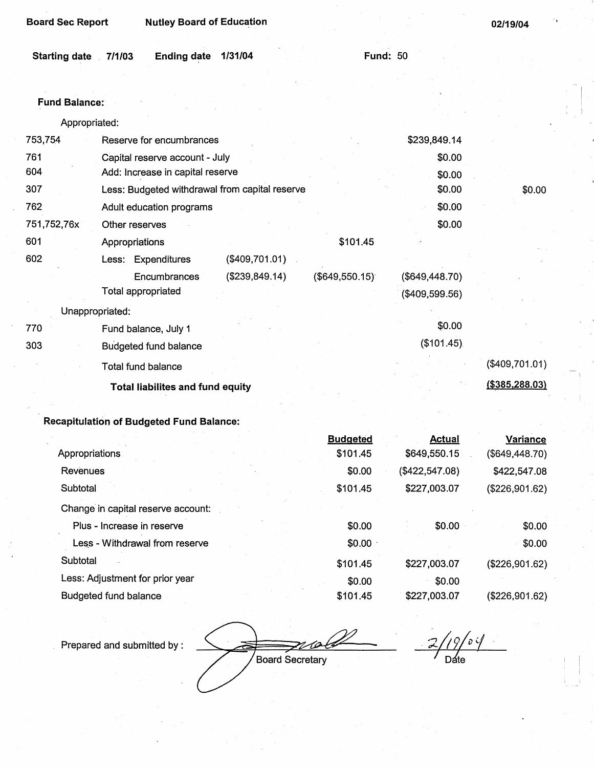| <b>Board Sec Report</b> |                                                | <b>Nutley Board of Education</b> |                 |                | 02/19/04          |
|-------------------------|------------------------------------------------|----------------------------------|-----------------|----------------|-------------------|
| <b>Starting date</b>    | <b>Ending date</b><br>7/1/03                   | 1/31/04                          | <b>Fund: 50</b> |                |                   |
|                         |                                                |                                  |                 |                |                   |
| <b>Fund Balance:</b>    |                                                |                                  |                 |                |                   |
| Appropriated:           |                                                |                                  |                 |                |                   |
| 753,754                 | Reserve for encumbrances                       |                                  |                 | \$239,849.14   |                   |
| 761                     | Capital reserve account - July                 |                                  |                 | \$0.00         |                   |
| 604                     | Add: Increase in capital reserve               |                                  |                 | \$0.00         |                   |
| 307                     | Less: Budgeted withdrawal from capital reserve |                                  |                 | \$0.00         | \$0.00            |
| 762                     | Adult education programs                       |                                  |                 | \$0,00         |                   |
| 751,752,76x             | Other reserves                                 |                                  |                 | \$0.00         |                   |
| 601                     | Appropriations                                 |                                  | \$101.45        |                |                   |
| 602                     | Less: Expenditures                             | (\$409,701.01)                   |                 |                |                   |
|                         | Encumbrances                                   | (\$239,849.14)                   | (\$649,550.15)  | (\$649,448.70) |                   |
|                         | <b>Total appropriated</b>                      |                                  |                 | (\$409,599.56) |                   |
|                         | Unappropriated:                                |                                  |                 |                |                   |
| 770                     | Fund balance, July 1                           |                                  |                 | \$0.00         |                   |
| 303                     | <b>Budgeted fund balance</b>                   |                                  |                 | (\$101.45)     |                   |
|                         | <b>Total fund balance</b>                      |                                  |                 |                | (\$409,701.01)    |
|                         | <b>Total liabilites and fund equity</b>        |                                  |                 |                | $($ \$385,288.03) |

|                                    | <b>Budgeted</b>       | Actual         | Variance          |
|------------------------------------|-----------------------|----------------|-------------------|
| <b>Appropriations</b>              | \$101.45              | \$649,550.15   | (\$649,448.70)    |
| Revenues                           | \$0.00                | (\$422,547.08) | \$422,547.08      |
| Subtotal                           | \$101.45              | \$227,003.07   | (\$226,901.62)    |
| Change in capital reserve account: |                       |                |                   |
| Plus - Increase in reserve         | \$0.00                | \$0.00         | \$0.00            |
| Less - Withdrawal from reserve     | $$0.00 \end{bmatrix}$ |                | \$0.00            |
| Subtotal                           | \$101.45              | \$227,003.07   | $($ \$226,901.62) |
| Less: Adjustment for prior year    | \$0.00                | \$0.00         |                   |
| Budgeted fund balance              | \$101.45              | \$227,003.07   | (\$226,901.62)    |

Prepared and submitted by :

Board Secretary

 $\frac{2/19/84}{\text{Date}}$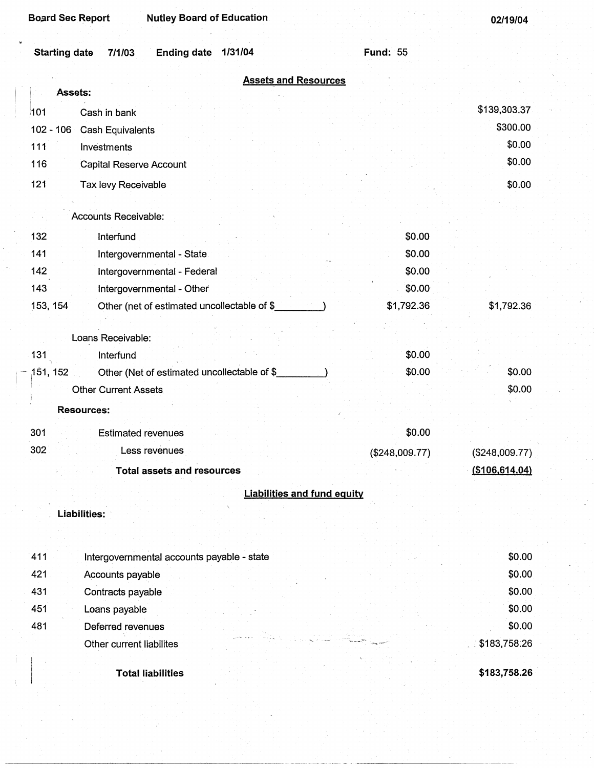| <b>Board Sec Report</b><br><b>Nutley Board of Education</b>          |                 | 02/19/04       |
|----------------------------------------------------------------------|-----------------|----------------|
| Đ<br><b>Starting date</b><br>7/1/03<br><b>Ending date</b><br>1/31/04 | <b>Fund: 55</b> |                |
| <b>Assets and Resources</b><br><b>Assets:</b>                        |                 |                |
| $ 101\rangle$<br>Cash in bank                                        |                 | \$139,303.37   |
| 102 - 106 Cash Equivalents                                           |                 | \$300.00       |
| 111<br>Investments                                                   |                 | \$0.00         |
| 116<br>Capital Reserve Account                                       |                 | \$0.00         |
| 121<br>Tax levy Receivable                                           |                 | \$0.00         |
| Accounts Receivable:                                                 |                 |                |
| 132<br>Interfund                                                     | \$0.00          |                |
| 141<br>Intergovernmental - State                                     | \$0.00          |                |
| 142<br>Intergovernmental - Federal                                   | \$0.00          |                |
| 143<br>Intergovernmental - Other                                     | \$0.00          |                |
| 153, 154<br>Other (net of estimated uncollectable of \$              | \$1,792.36      | \$1,792.36     |
| Loans Receivable:                                                    |                 |                |
| 131<br>Interfund                                                     | \$0.00          |                |
| 151, 152<br>Other (Net of estimated uncollectable of \$_             | \$0.00          | \$0.00         |
| <b>Other Current Assets</b>                                          |                 | \$0.00         |
| <b>Resources:</b>                                                    |                 |                |
| 301<br><b>Estimated revenues</b>                                     | \$0.00          |                |
| 302<br>Less revenues                                                 | (\$248,009.77)  | (\$248,009.77) |
| <b>Total assets and resources</b>                                    |                 | (\$106,614.04) |
| <b>Liabilities and fund equity</b>                                   |                 |                |
| Liabilities:                                                         |                 |                |
| 411<br>Intergovernmental accounts payable - state                    |                 | \$0.00         |

| 421 | Accounts payable         | \$0.00       |
|-----|--------------------------|--------------|
| 431 | Contracts payable        | \$0.00       |
| 451 | Loans payable            | \$0.00       |
| 481 | Deferred revenues        | \$0.00       |
|     | Other current liabilites | \$183,758.26 |
|     |                          |              |
|     | <b>Total liabilities</b> | \$183,758.26 |
|     |                          |              |

 $\mathcal{A}$ 

 $\frac{1}{4}$